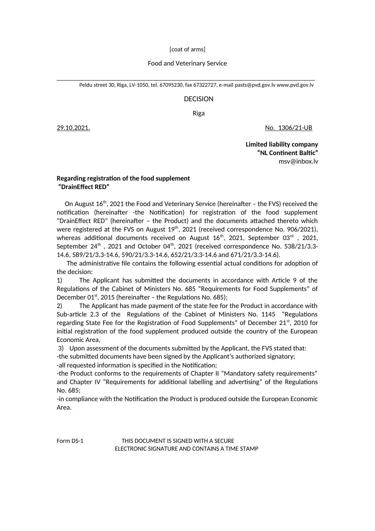[coat of arms]

## Food and Veterinary Service

\_\_\_\_\_\_\_\_\_\_\_\_\_\_\_\_\_\_\_\_\_\_\_\_\_\_\_\_\_\_\_\_\_\_\_\_\_\_\_\_\_\_\_\_\_\_\_\_\_\_\_\_\_\_\_\_\_\_\_\_\_\_\_\_\_\_\_\_\_\_\_\_\_\_\_ Peldu street 30, Riga, LV-1050, tel. 67095230, fax 67322727, e-mail [pasts@pvd.gov](mailto:pasts@pvd.gov).lv [www.pvd.gov.lv](http://www.pvd.gov.lv/)

## DECISION

Riga

29.10.2021. No. 1306/21-UB

 **Limited liability company "NL Continent Baltic"** [msv@inbox.lv](mailto:msv@inbox.lv)

## **Regarding registration of the food supplement "DrainEffect RED"**

On August 16<sup>th</sup>, 2021 the Food and Veterinary Service (hereinafter - the FVS) received the notification (hereinafter -the Notification) for registration of the food supplement "DrainEffect RED" (hereinafter – the Product) and the documents attached thereto which were registered at the FVS on August 19<sup>th</sup>, 2021 (received correspondence No. 906/2021), whereas additional documents received on August  $16<sup>th</sup>$ , 2021, September 03<sup>rd</sup>, 2021, September  $24^{th}$ , 2021 and October 04<sup>th</sup>, 2021 (received correspondence No. 538/21/3.3-14.6, 589/21/3.3-14.6, 590/21/3.3-14.6, 652/21/3.3-14.6 and 671/21/3.3-14.6).

 The administrative file contains the following essential actual conditions for adoption of the decision:

1) The Applicant has submitted the documents in accordance with Article 9 of the Regulations of the Cabinet of Ministers No. 685 "Requirements for Food Supplements" of December 01 $^{st}$ , 2015 (hereinafter – the Regulations No. 685);

2) The Applicant has made payment of the state fee for the Product in accordance with Sub-article 2.3 of the Regulations of the Cabinet of Ministers No. 1145 "Regulations regarding State Fee for the Registration of Food Supplements" of December  $21^{st}$ , 2010 for initial registration of the food supplement produced outside the country of the European Economic Area,

3) Upon assessment of the documents submitted by the Applicant, the FVS stated that:

-the submitted documents have been signed by the Applicant's authorized signatory;

-all requested information is specified in the Notification;

-the Product conforms to the requirements of Chapter II "Mandatory safety requirements" and Chapter IV "Requirements for additional labelling and advertising" of the Regulations No. 685;

-in compliance with the Notification the Product is produced outside the European Economic Area.

Form DS-1 THIS DOCUMENT IS SIGNED WITH A SECURE ELECTRONIC SIGNATURE AND CONTAINS A TIME STAMP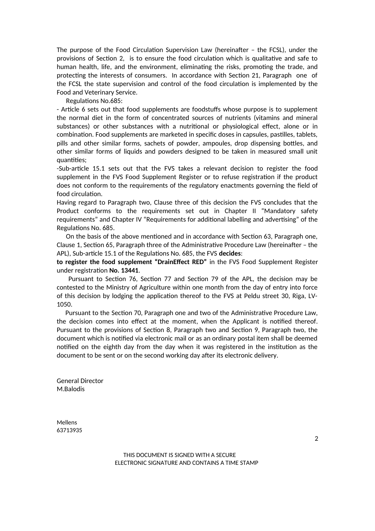The purpose of the Food Circulation Supervision Law (hereinafter – the FCSL), under the provisions of Section 2, is to ensure the food circulation which is qualitative and safe to human health, life, and the environment, eliminating the risks, promoting the trade, and protecting the interests of consumers. In accordance with Section 21, Paragraph one of the FCSL the state supervision and control of the food circulation is implemented by the Food and Veterinary Service.

Regulations No.685:

- Article 6 sets out that food supplements are foodstuffs whose purpose is to supplement the normal diet in the form of concentrated sources of nutrients (vitamins and mineral substances) or other substances with a nutritional or physiological effect, alone or in combination. Food supplements are marketed in specific doses in capsules, pastilles, tablets, pills and other similar forms, sachets of powder, ampoules, drop dispensing bottles, and other similar forms of liquids and powders designed to be taken in measured small unit quantities;

-Sub-article 15.1 sets out that the FVS takes a relevant decision to register the food supplement in the FVS Food Supplement Register or to refuse registration if the product does not conform to the requirements of the regulatory enactments governing the field of food circulation.

Having regard to Paragraph two, Clause three of this decision the FVS concludes that the Product conforms to the requirements set out in Chapter II "Mandatory safety requirements" and Chapter IV "Requirements for additional labelling and advertising" of the Regulations No. 685.

 On the basis of the above mentioned and in accordance with Section 63, Paragraph one, Clause 1, Section 65, Paragraph three of the Administrative Procedure Law (hereinafter – the APL), Sub-article 15.1 of the Regulations No. 685, the FVS **decides**:

**to register the food supplement "DrainEffect RED"** in the FVS Food Supplement Register under registration **No. 13441**.

 Pursuant to Section 76, Section 77 and Section 79 of the APL, the decision may be contested to the Ministry of Agriculture within one month from the day of entry into force of this decision by lodging the application thereof to the FVS at Peldu street 30, Riga, LV-1050.

 Pursuant to the Section 70, Paragraph one and two of the Administrative Procedure Law, the decision comes into effect at the moment, when the Applicant is notified thereof. Pursuant to the provisions of Section 8, Paragraph two and Section 9, Paragraph two, the document which is notified via electronic mail or as an ordinary postal item shall be deemed notified on the eighth day from the day when it was registered in the institution as the document to be sent or on the second working day after its electronic delivery.

General Director M.Balodis

Mellens 63713935

> THIS DOCUMENT IS SIGNED WITH A SECURE ELECTRONIC SIGNATURE AND CONTAINS A TIME STAMP